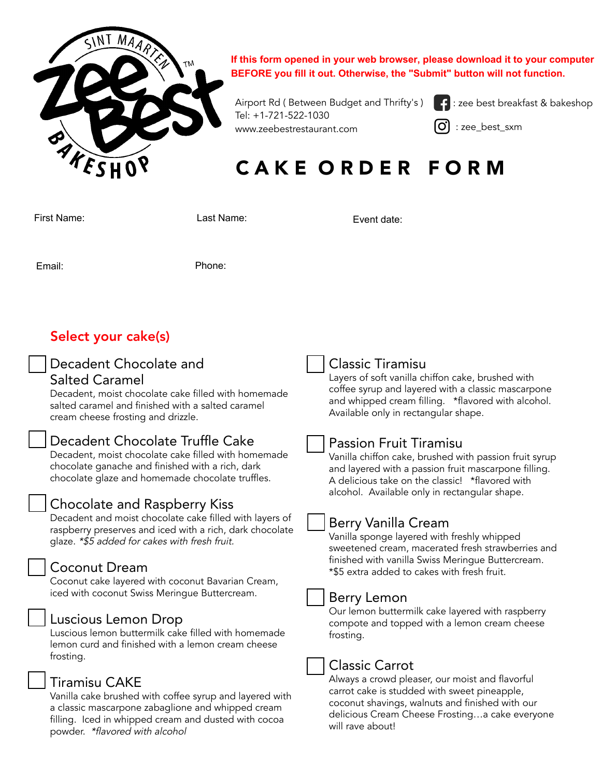

**If this form opened in your web browser, please download it to your computer BEFORE you fill it out. Otherwise, the "Submit" button will not function.**

Airport Rd ( Between Budget and Thrifty's ) | Tel: +1-721-522-1030 www.zeebestrestaurant.com

: zee best breakfast & bakeshop

: zee\_best\_sxm

# CAKE ORDER FORM

Event date:

First Name: Last Name:

Email: Phone:

## Select your cake(s)

# Decadent Chocolate and

### Salted Caramel

Decadent, moist chocolate cake filled with homemade salted caramel and finished with a salted caramel cream cheese frosting and drizzle.

## Decadent Chocolate Truffle Cake

Decadent, moist chocolate cake filled with homemade chocolate ganache and finished with a rich, dark chocolate glaze and homemade chocolate truffles.

### Chocolate and Raspberry Kiss

Decadent and moist chocolate cake filled with layers of raspberry preserves and iced with a rich, dark chocolate glaze. \*\$5 added for cakes with fresh fruit.

### Coconut Dream

Coconut cake layered with coconut Bavarian Cream, iced with coconut Swiss Meringue Buttercream.

### Luscious Lemon Drop

Luscious lemon buttermilk cake filled with homemade lemon curd and finished with a lemon cream cheese frosting.

### Tiramisu CAKE

Vanilla cake brushed with coffee syrup and layered with a classic mascarpone zabaglione and whipped cream filling. Iced in whipped cream and dusted with cocoa powder. \*flavored with alcohol

### Classic Tiramisu

Layers of soft vanilla chiffon cake, brushed with coffee syrup and layered with a classic mascarpone and whipped cream filling. \*flavored with alcohol. Available only in rectangular shape.

### Passion Fruit Tiramisu

Vanilla chiffon cake, brushed with passion fruit syrup and layered with a passion fruit mascarpone filling. A delicious take on the classic! \*flavored with alcohol. Available only in rectangular shape.

## Berry Vanilla Cream

Vanilla sponge layered with freshly whipped sweetened cream, macerated fresh strawberries and finished with vanilla Swiss Meringue Buttercream. \*\$5 extra added to cakes with fresh fruit.



### Berry Lemon

Our lemon buttermilk cake layered with raspberry compote and topped with a lemon cream cheese frosting.

### Classic Carrot

Always a crowd pleaser, our moist and flavorful carrot cake is studded with sweet pineapple, coconut shavings, walnuts and finished with our delicious Cream Cheese Frosting…a cake everyone will rave about!